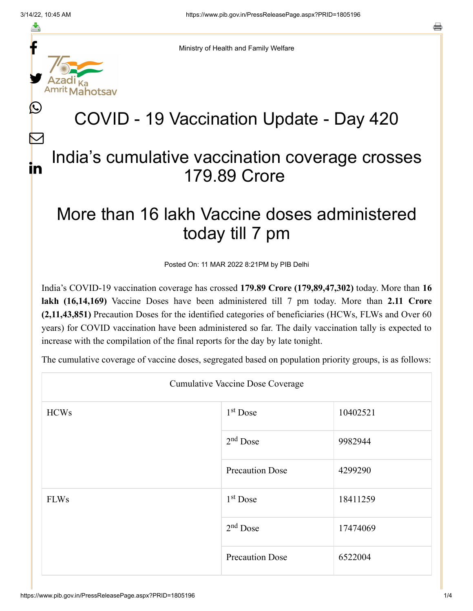L

 $\bm{\nabla}$ 

in

a



Ministry of Health and Family Welfare

## COVID - 19 Vaccination Update - Day 420

## India's cumulative vaccination coverage crosses 179.89 Crore

## More than 16 lakh Vaccine doses administered today till 7 pm

Posted On: 11 MAR 2022 8:21PM by PIB Delhi

India's COVID-19 vaccination coverage has crossed **179.89 Crore (179,89,47,302)** today. More than **16 lakh (16,14,169)** Vaccine Doses have been administered till 7 pm today. More than **2.11 Crore (2,11,43,851)** Precaution Doses for the identified categories of beneficiaries (HCWs, FLWs and Over 60 years) for COVID vaccination have been administered so far. The daily vaccination tally is expected to increase with the compilation of the final reports for the day by late tonight.

The cumulative coverage of vaccine doses, segregated based on population priority groups, is as follows:

| <b>Cumulative Vaccine Dose Coverage</b> |                        |          |  |  |
|-----------------------------------------|------------------------|----------|--|--|
| <b>HCWs</b>                             | $1st$ Dose             | 10402521 |  |  |
|                                         | $2nd$ Dose             | 9982944  |  |  |
|                                         | <b>Precaution Dose</b> | 4299290  |  |  |
| <b>FLWs</b>                             | $1st$ Dose             | 18411259 |  |  |
|                                         | $2nd$ Dose             | 17474069 |  |  |
|                                         | <b>Precaution Dose</b> | 6522004  |  |  |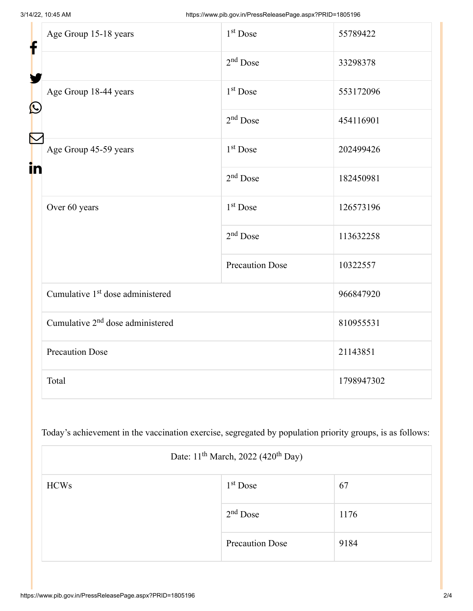| f<br>$\bigcirc$<br>K<br>in | Age Group 15-18 years                        | 1 <sup>st</sup> Dose   | 55789422   |
|----------------------------|----------------------------------------------|------------------------|------------|
|                            |                                              | $2nd$ Dose             | 33298378   |
|                            | Age Group 18-44 years                        | 1 <sup>st</sup> Dose   | 553172096  |
|                            |                                              | $2nd$ Dose             | 454116901  |
|                            | Age Group 45-59 years                        | 1 <sup>st</sup> Dose   | 202499426  |
|                            |                                              | $2nd$ Dose             | 182450981  |
|                            | Over 60 years                                | 1 <sup>st</sup> Dose   | 126573196  |
|                            |                                              | $2nd$ Dose             | 113632258  |
|                            |                                              | <b>Precaution Dose</b> | 10322557   |
|                            | Cumulative 1 <sup>st</sup> dose administered |                        | 966847920  |
|                            | Cumulative 2 <sup>nd</sup> dose administered |                        | 810955531  |
|                            | <b>Precaution Dose</b>                       |                        | 21143851   |
|                            | Total                                        |                        | 1798947302 |

Today's achievement in the vaccination exercise, segregated by population priority groups, is as follows:

| Date: 11 <sup>th</sup> March, 2022 (420 <sup>th</sup> Day) |                        |      |  |
|------------------------------------------------------------|------------------------|------|--|
| <b>HCWs</b>                                                | $1st$ Dose             | 67   |  |
|                                                            | $2nd$ Dose             | 1176 |  |
|                                                            | <b>Precaution Dose</b> | 9184 |  |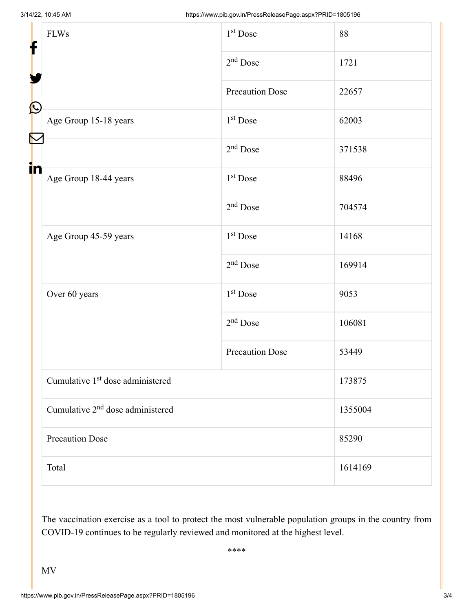| f            | <b>FLWs</b>                                  | $1st$ Dose             | 88      |  |
|--------------|----------------------------------------------|------------------------|---------|--|
|              |                                              | $2nd$ Dose             | 1721    |  |
|              |                                              | Precaution Dose        | 22657   |  |
| $\bf \Omega$ | Age Group 15-18 years                        | 1 <sup>st</sup> Dose   | 62003   |  |
| in           |                                              | $2nd$ Dose             | 371538  |  |
|              | Age Group 18-44 years                        | $1st$ Dose             | 88496   |  |
|              |                                              | $2nd$ Dose             | 704574  |  |
|              | Age Group 45-59 years                        | 1 <sup>st</sup> Dose   | 14168   |  |
|              |                                              | $2nd$ Dose             | 169914  |  |
|              | Over 60 years                                | $1st$ Dose             | 9053    |  |
|              |                                              | $2nd$ Dose             | 106081  |  |
|              |                                              | <b>Precaution Dose</b> | 53449   |  |
|              | Cumulative 1 <sup>st</sup> dose administered |                        | 173875  |  |
|              | Cumulative 2 <sup>nd</sup> dose administered |                        | 1355004 |  |
|              | <b>Precaution Dose</b>                       |                        | 85290   |  |
|              | Total                                        |                        | 1614169 |  |

The vaccination exercise as a tool to protect the most vulnerable population groups in the country from COVID-19 continues to be regularly reviewed and monitored at the highest level.

\*\*\*\*

MV